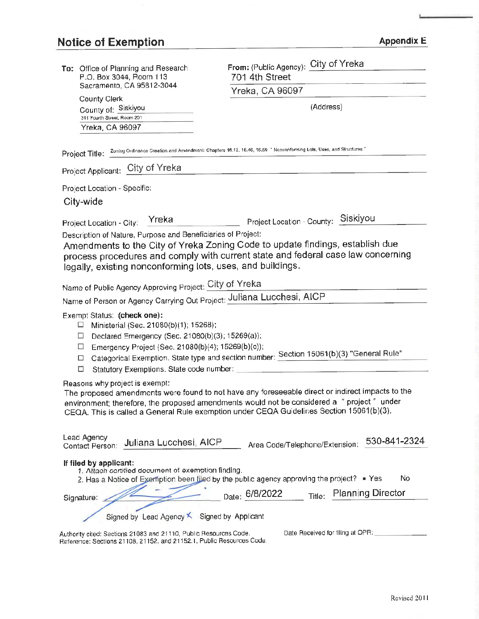# Notice of Exemption Appendix E

| To: Office of Planning and Research                                                                                                        | From: (Public Agency): City of Yreka                                                             |
|--------------------------------------------------------------------------------------------------------------------------------------------|--------------------------------------------------------------------------------------------------|
| P.O. Box 3044, Room 113<br>Sacramento, CA 95812-3044                                                                                       | 701 4th Street                                                                                   |
|                                                                                                                                            | Yreka, CA 96097                                                                                  |
| County Clerk<br>County of: Siskiyou                                                                                                        | (Address)                                                                                        |
| 311 Fourth Street, Room 201                                                                                                                |                                                                                                  |
| Yreka, CA 96097                                                                                                                            |                                                                                                  |
| Project Title: Zoning Ordinance Creation and Amendment: Chapters 16.12, 16.46, 16.59 " Nonconforming Lots, Uses, and Structures "          |                                                                                                  |
| Project Applicant: City of Yreka                                                                                                           |                                                                                                  |
| Project Location - Specific:                                                                                                               |                                                                                                  |
| City-wide                                                                                                                                  |                                                                                                  |
| Yreka<br>Project Location - City:                                                                                                          | Project Location - County: Siskiyou                                                              |
| Description of Nature, Purpose and Beneficiaries of Project:                                                                               |                                                                                                  |
|                                                                                                                                            | Amendments to the City of Yreka Zoning Code to update findings, establish due                    |
|                                                                                                                                            | process procedures and comply with current state and federal case law concerning                 |
| legally, existing nonconforming lots, uses, and buildings.                                                                                 |                                                                                                  |
| Name of Public Agency Approving Project: City of Yreka                                                                                     |                                                                                                  |
| Name of Person or Agency Carrying Out Project: Juliana Lucchesi, AICP                                                                      |                                                                                                  |
| Exempt Status: (check one):                                                                                                                |                                                                                                  |
| Ministerial (Sec. 21080(b)(1); 15268);<br>⊔<br>Declared Emergency (Sec. 21080(b)(3); 15269(a));<br>□                                       |                                                                                                  |
| Emergency Project (Sec. 21080(b)(4); 15269(b)(c));<br>□                                                                                    |                                                                                                  |
| □                                                                                                                                          | Categorical Exemption. State type and section number: Section 15061(b)(3) "General Rule"         |
| Statutory Exemptions. State code number: _____<br>□                                                                                        |                                                                                                  |
| Reasons why project is exempt:                                                                                                             | The proposed amendments were found to not have any foreseeable direct or indirect impacts to the |
|                                                                                                                                            | environment; therefore, the proposed amendments would not be considered a "project" under        |
|                                                                                                                                            | CEQA. This is called a General Rule exemption under CEQA Guidelines Section 15061(b)(3).         |
|                                                                                                                                            |                                                                                                  |
| Lead Agency<br>Juliana Lucchesi, AICP<br>Contact Person:                                                                                   | 530-841-2324<br>Area Code/Telephone/Extension:                                                   |
| If filed by applicant:                                                                                                                     |                                                                                                  |
| 1. Attach certified document of exemption finding.                                                                                         | No<br>2. Has a Notice of Exemption been filed by the public agency approving the project? = Yes  |
|                                                                                                                                            |                                                                                                  |
| Signature:                                                                                                                                 | <b>Planning Director</b><br>Date: 6/8/2022<br>Title:                                             |
| Signed by Lead Agency X Signed by Applicant                                                                                                |                                                                                                  |
| Authority cited: Sections 21083 and 21110, Public Resources Code.<br>Reference: Sections 21108, 21152, and 21152.1, Public Resources Code. | Date Received for filing at OPR:                                                                 |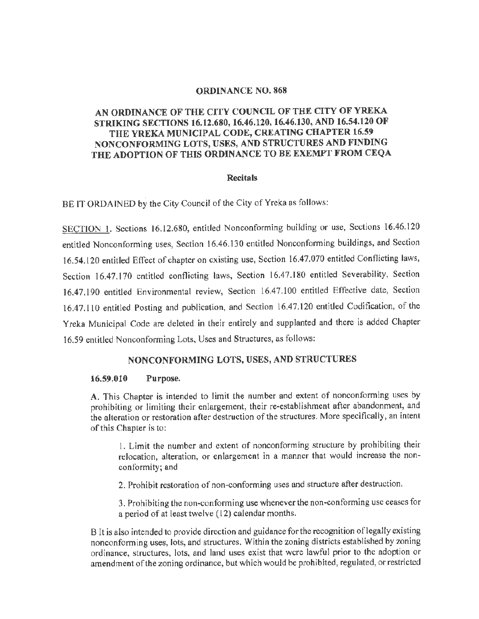### ORDINANCE NO. 868

# AN ORDINANCE OF THE CITY COUNCIL OF THE CITY OF YREKA STRIKING SECTIONS 16.12.680, 16.46.120, 16.46.130, AND 16.54.120 OF **THE YREKA MUNICIPAL CODE, CREATING CHAPTER 16.59 NONCONFORMING LOTS, USES, AND STRUCTURES AND FINDING THE ADOPTION OF THIS ORDINANCE TO BE EXEMPT FROM CEQA**

#### **Recitals**

BE IT ORDAINED by the City Council of the City of Yreka as follows:

SECTION 1. Sections 16.12.680, entitled Nonconforming building or use, Sections 16.46.120 entitled Nonconforming uses, Section 16.46.130 entitled Nonconforming buildings, and Section 16.54.120 entitled Effect of chapter on existing use, Section 16.47.070 entitled Conflicting laws, Section 16.47.170 entitled conflicting laws, Section 16.47.180 entitled Severability, Section 16.47.190 entitled Environmental review, Section 16.47.100 entitled Effective date, Section 16.47.110 entitled Posting and publication, and Section 16.47.120 entitled Codification, of the Yreka Municipal Code are deleted in their entirely and supplanted and there is added Chapter 16.59 entitled Nonconforming Lots, Uses and Structures, as follows:

## **NONCONFORMING LOTS, USES, AND STRUCTURES**

#### **16.59.010 Purpose.**

**A.** This Chapter is intended to limit the number and extent of nonconforming uses by prohibiting or limiting their enlargement, their re-establishment after abandonment, and the alteration or restoration after destruction of the structures. More specifically, an intent of this Chapter is to:

I. Limit the number and extent of nonconforming structure by prohibiting their relocation, alteration, or enlargement in a manner that would increase the nonconformity; and

2. Prohibit restoration of non-conforming uses and structure after destruction.

3. Prohibiting the non-conforming use whenever the non-conforming use ceases for a period of at least twelve (12) calendar months.

B It is also intended to provide direction and guidance for the recognition of legally existing nonconforming uses, lots, and structures. Within the zoning districts established by zoning ordinance, structures, lots, and land uses exist that were lawful prior to the adoption or amendment of the zoning ordinance, but which would be prohibited, regulated, or restricted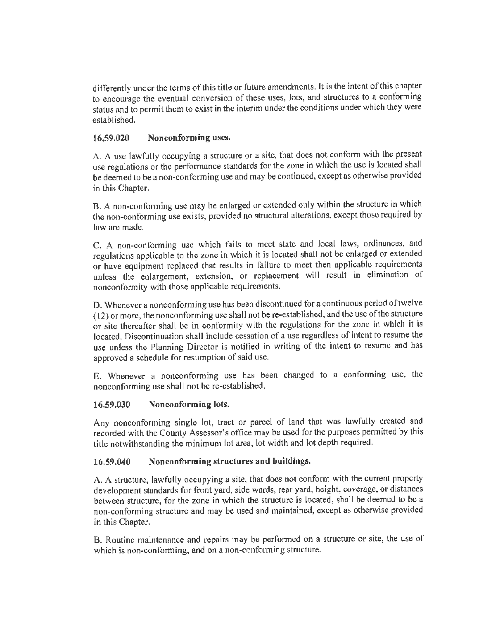differently under the terms of this title or future amendments. It is the intent of this chapter to encourage the eventual conversion of these uses, lots, and structures to a conforming status and to permit them to exist in the interim under the conditions under which they were established.

# **16.59.020 Nonconforming uses.**

A. A use lawfully occupying a structure or a site, that does not conform with the present use regulations or the performance standards for the zone in which the use is located shall be deemed to be a non-conforming use and may be continued, except as otherwise provided in this Chapter.

B. A non-conforming use may be enlarged or extended only within the structure in which the non-conforming use exists, provided no structural alterations, except those required by law arc made.

C. A non-conforming use which fails to meet state and local laws, ordinances, and regulations applicable to the zone in which it is located shall not be enlarged or extended or have equipment replaced that results in failure to meet then applicable requirements unless the enlargement, extension, or replacement will result in elimination of nonconformity with those applicable requirements.

D. Whenever a nonconforming use has been discontinued for a continuous period of twelve ( 12) or more, the nonconforming use shall not be re-established, and the use of the structure or site thereafter shall be in conformity with the regulations for the zone in which it is located. Discontinuation shall include cessation of a use regardless of intent to resume the use unless the Planning Director is notified in writing of the intent to resume and has approved a schedule for resumption of said use.

E. Whenever a nonconforming use has been changed to a conforming use, the nonconforming use shall not be re-established.

# **16.59.030 Nonconforming lots.**

Any nonconforming single lot, tract or parcel of land that was lawfully created and recorded with the County Assessor's office may be used for the purposes permitted by this title notwithstanding the minimum lot area, lot width and lot depth required.

# **16.59.040 Nonconforming structures and buildings.**

A. A structure, lawfully occupying a site, that does not conform with the current property development standards for front yard, side wards, rear yard, height, coverage, or distances between structure, for the zone in which the structure is located, shall be deemed to be a non-conforming structure and may be used and maintained, except as otherwise provided in this Chapter.

B. Routine maintenance and repairs may be performed on a structure or site, the use of which is non-conforming, and on a non-conforming structure.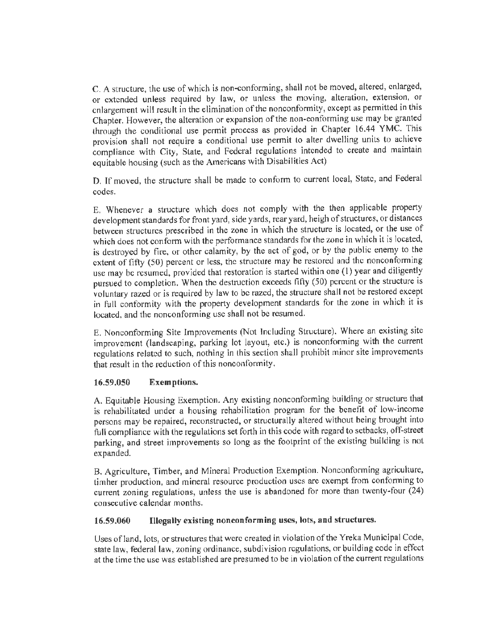C. A structure, the use of which is non-conforming, shall not be moved, altered, enlarged, or extended unless required by law, or unless the moving, alteration, extension, or enlargement will result in the elimination of the nonconformity, except as permitted in this Chapter. However, the alteration or expansion of the non-conforming use may be granted through the conditional use permit process as provided in Chapter 16.44 YMC. This provision shall not require a conditional use permit lo alter dwelling units to achieve compliance with City, State, and Federal regulations intended to create and maintain equitable housing (such as the Americans with Disabilities Act)

D, If moved, the structure shall be made to conform to current local, State, and Federal codes.

E, Whenever a structure which does not comply with the then applicable property development standards for front yard, side yards, rear yard, heigh of structures, or distances between structures prescribed in the zone in which the structure is located, or the use of which does not conform with the performance standards for the zone in which it is located, is destroyed by fire, or other calamity, by the act of god, or by the public enemy to the extent of fifty (50) percent or less, the structure may be restored and the nonconforming use may be resumed, provided that restoration is started within one (I) year and diligently pursued to completion. When the destruction exceeds fifty (50) percent or the structure is voluntary razed or is required by law to be razed, the structure shall not be restored except in full conformity with the property development standards for the zone in which it is located, and the nonconforming use shall not be resumed.

E. Nonconforming Site Improvements (Not Including Structure). Where an existing site improvement (landscaping, parking lot layout, etc.) is nonconforming with the current regulations related to such, nothing in this section shall prohibit minor site improvements that result in the reduction of this nonconformity.

# **16.59.050 Exemptions.**

A. Equitable Housing Exemption. Any existing nonconforming building or structure that is rehabilitated under a housing rehabilitation program for the benefit of low-income persons may be repaired, reconstructed, or structurally altered without being brought into full compliance with the regulations set forth in this code with regard to setbacks, off-street parking, and street improvements so long as the footprint of the existing building is not expanded.

B. Agriculture, Timber, and Mineral Production Exemption. Nonconforming agriculture, timber production, and mineral resource production uses are exempt from conforming to current zoning regulations, unless the use is abandoned for more than twenty-four (24) consecutive calendar months.

# **16.59.060 Illegally existing nonconforming uses, lots, and structures.**

Uses ofland, lots, or structures that were created in violation of the Yreka Municipal Code, state law, federal law, zoning ordinance, subdivision regulations, or building code in effect at the time the use was established are presumed to be in violation of the current regulations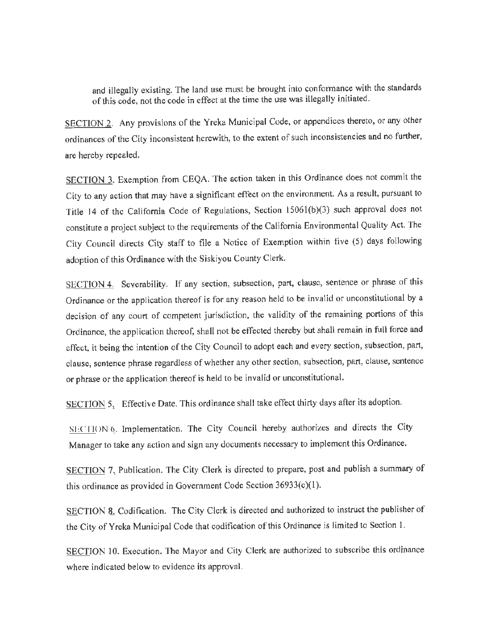and illegally existing. The land use must be brought into conformance with the standards of this code, not the code in effect at the time the use was illegally initiated.

SECTION 2. Any provisions of the Yreka Municipal Code, or appendices thereto, or any other ordinances of the City inconsistent herewith, to the extent of such inconsistencies and no further, are hereby repealed.

SECTION 3. Exemption from CEQA. The action taken in this Ordinance does not commit the City to any action that may have a significant effect on the environment. As a result, pursuant to Title 14 of the California Code of Regulations, Section 15061(b)(3) such approval does not constitute a project subject to the requirements of the California Environmental Quality Act. The City Council directs City staff to file a Notice of Exemption within five (5) days following adoption of this Ordinance with the Siskiyou County Clerk.

SECTION 4. Severability. If any section, subsection, part, clause, sentence or phrase of this Ordinance or the application thereof is for any reason held lo be invalid or unconstitutional by a decision of any court of competent jurisdiction, the validity of the remaining portions of this Ordinance, the application thereof, shall not be effected thereby but shall remain in full force and effect, it being the intention of the City Council to adopt each and every section, subsection, part, clause, sentence phrase regardless of whether any other section, subsection, part, clause, sentence or phrase or the application thereof is held to be invalid or unconstitutional.

SECTION 5. Effective Date. This ordinance shall take effect thirty days after its adoption.

SECTION 6. Implementation. The City Council hereby authorizes and directs the City Manager to take any action and sign any documents necessary to implement this Ordinance.

SECTION 7. Publication. The City Clerk is directed to prepare, post and publish a summary of this ordinance as provided in Government Code Section 36933(c)(l).

SECTION 8. Codification. The City Clerk is directed and authorized to instruct the publisher of the City of Yreka Municipal Code that codification of this Ordinance is limited to Section 1.

SECTION 10. Execution. The Mayor and City Clerk are authorized to subscribe this ordinance where indicated below to evidence its approval.